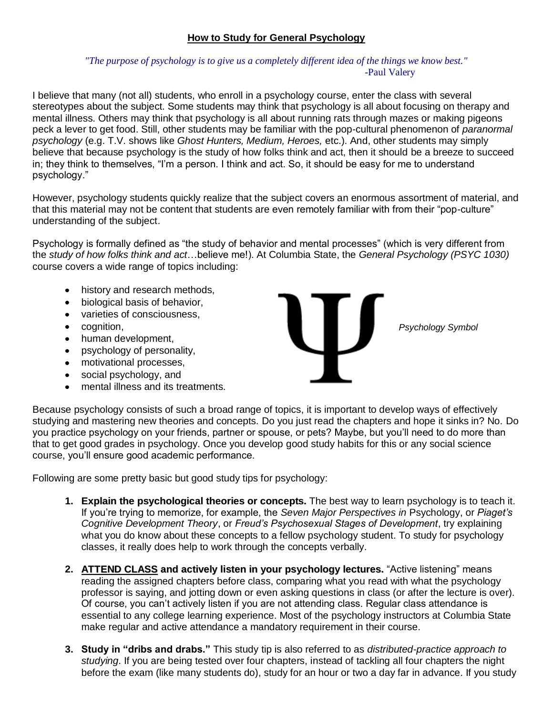## **How to Study for General Psychology**

## *"The purpose of psychology is to give us a completely different idea of the things we know best."* -Paul Valery

I believe that many (not all) students, who enroll in a psychology course, enter the class with several stereotypes about the subject. Some students may think that psychology is all about focusing on therapy and mental illness. Others may think that psychology is all about running rats through mazes or making pigeons peck a lever to get food. Still, other students may be familiar with the pop-cultural phenomenon of *paranormal psychology* (e.g. T.V. shows like *Ghost Hunters, Medium, Heroes,* etc.). And, other students may simply believe that because psychology is the study of how folks think and act, then it should be a breeze to succeed in; they think to themselves, "I'm a person. I think and act. So, it should be easy for me to understand psychology."

However, psychology students quickly realize that the subject covers an enormous assortment of material, and that this material may not be content that students are even remotely familiar with from their "pop-culture" understanding of the subject.

Psychology is formally defined as "the study of behavior and mental processes" (which is very different from the *study of how folks think and act*…believe me!). At Columbia State, the *General Psychology (PSYC 1030)* course covers a wide range of topics including:

- history and research methods,
- biological basis of behavior,
- varieties of consciousness,
- cognition,
- human development,
- psychology of personality,
- motivational processes,
- social psychology, and
- mental illness and its treatments.



*Psychology Symbol*

Because psychology consists of such a broad range of topics, it is important to develop ways of effectively studying and mastering new theories and concepts. Do you just read the chapters and hope it sinks in? No. Do you practice psychology on your friends, partner or spouse, or pets? Maybe, but you'll need to do more than that to get good grades in psychology. Once you develop good study habits for this or any social science course, you'll ensure good academic performance.

Following are some pretty basic but good study tips for psychology:

- **1. Explain the psychological theories or concepts.** The best way to learn psychology is to teach it. If you're trying to memorize, for example, the *Seven Major Perspectives in* Psychology, or *Piaget's Cognitive Development Theory*, or *Freud's Psychosexual Stages of Development*, try explaining what you do know about these concepts to a fellow psychology student. To study for psychology classes, it really does help to work through the concepts verbally.
- **2. ATTEND CLASS and actively listen in your psychology lectures.** "Active listening" means reading the assigned chapters before class, comparing what you read with what the psychology professor is saying, and jotting down or even asking questions in class (or after the lecture is over). Of course, you can't actively listen if you are not attending class. Regular class attendance is essential to any college learning experience. Most of the psychology instructors at Columbia State make regular and active attendance a mandatory requirement in their course.
- **3. Study in "dribs and drabs."** This study tip is also referred to as *distributed-practice approach to studying*. If you are being tested over four chapters, instead of tackling all four chapters the night before the exam (like many students do), study for an hour or two a day far in advance. If you study